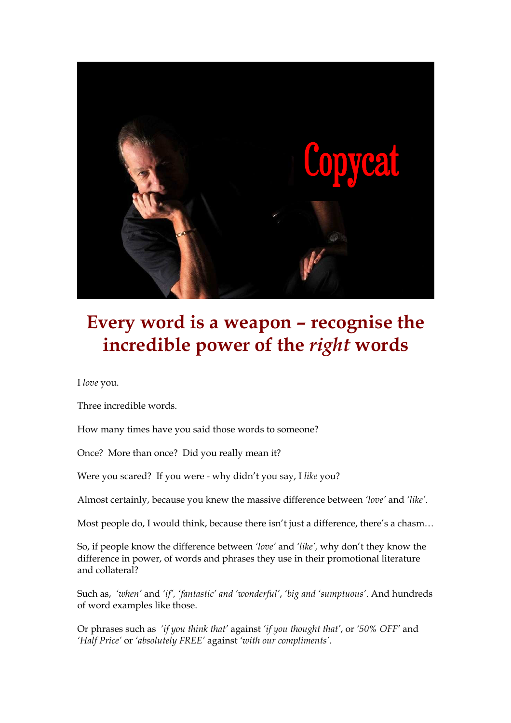

## **Every word is a weapon – recognise the incredible power of the** *right* **words**

I *love* you.

Three incredible words.

How many times have you said those words to someone?

Once? More than once? Did you really mean it?

Were you scared? If you were - why didn't you say, I *like* you?

Almost certainly, because you knew the massive difference between *'love'* and *'like'*.

Most people do, I would think, because there isn't just a difference, there's a chasm…

So, if people know the difference between *'love'* and *'like',* why don't they know the difference in power, of words and phrases they use in their promotional literature and collateral?

Such as, *'when'* and *'if', 'fantastic' and 'wonderful'*, *'big and 'sumptuous'*. And hundreds of word examples like those.

Or phrases such as *'if you think that'* against *'if you thought that'*, or *'50% OFF'* and *'Half Price'* or *'absolutely FREE'* against *'with our compliments'*.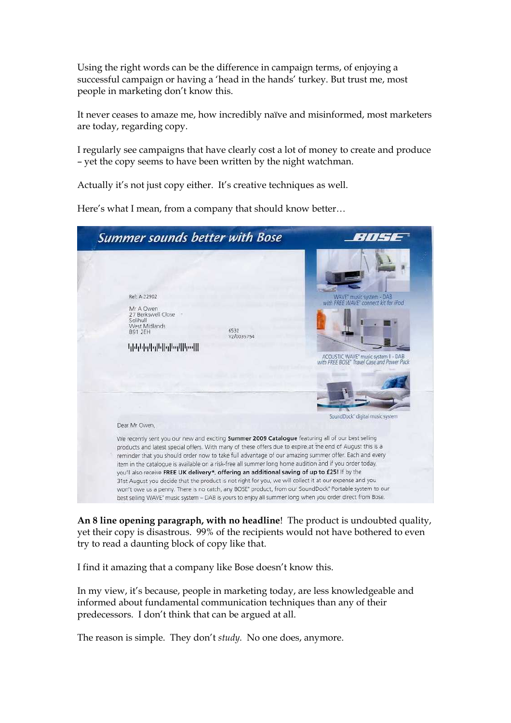Using the right words can be the difference in campaign terms, of enjoying a successful campaign or having a 'head in the hands' turkey. But trust me, most people in marketing don't know this.

It never ceases to amaze me, how incredibly naïve and misinformed, most marketers are today, regarding copy.

I regularly see campaigns that have clearly cost a lot of money to create and produce – yet the copy seems to have been written by the night watchman.

Actually it's not just copy either. It's creative techniques as well.

Here's what I mean, from a company that should know better…

| <b>Summer sounds better with Bose</b>                                                                                                                                                                                                                                                                                                                                                                                                                                                                                                                                                                                                                                                                                                                                                                                                                                                 |                                                                                                                                                       |
|---------------------------------------------------------------------------------------------------------------------------------------------------------------------------------------------------------------------------------------------------------------------------------------------------------------------------------------------------------------------------------------------------------------------------------------------------------------------------------------------------------------------------------------------------------------------------------------------------------------------------------------------------------------------------------------------------------------------------------------------------------------------------------------------------------------------------------------------------------------------------------------|-------------------------------------------------------------------------------------------------------------------------------------------------------|
| Ref: A-22902<br>Mr A Owen<br>27 Berkswell Close<br>Solihull<br>West Midlands<br>6532<br><b>B91 2FH</b><br>V2/0035754<br><u>կիկնիրկրիկիրկկիրվի</u>                                                                                                                                                                                                                                                                                                                                                                                                                                                                                                                                                                                                                                                                                                                                     | WAVE" music system - DAB<br>with FREE WAVE' connect kit for iPod<br>ACOUSTIC WAVE" music system II - DAB<br>with FREE BOSE Travel Case and Power Pack |
| Dear Mr Owen,<br>We recently sent you our new and exciting Summer 2009 Catalogue featuring all of our best selling<br>products and latest special offers. With many of these offers due to expire at the end of August this is a<br>reminder that you should order now to take full advantage of our amazing summer offer. Each and every<br>item in the catalogue is available on a risk-free all summer long home audition and if you order today,<br>you'll also receive FREE UK delivery*, offering an additional saving of up to £25! If by the<br>31st August you decide that the product is not right for you, we will collect it at our expense and you<br>won't owe us a penny. There is no catch, any BOSE' product, from our SoundDock' Portable system to our<br>best selling WAVE* music system - DAB is yours to enjoy all summer long when you order direct from Bose. | SoundDock" digital music system.                                                                                                                      |

**An 8 line opening paragraph, with no headline**! The product is undoubted quality, yet their copy is disastrous. 99% of the recipients would not have bothered to even try to read a daunting block of copy like that.

I find it amazing that a company like Bose doesn't know this.

In my view, it's because, people in marketing today, are less knowledgeable and informed about fundamental communication techniques than any of their predecessors. I don't think that can be argued at all.

The reason is simple. They don't *study.* No one does, anymore.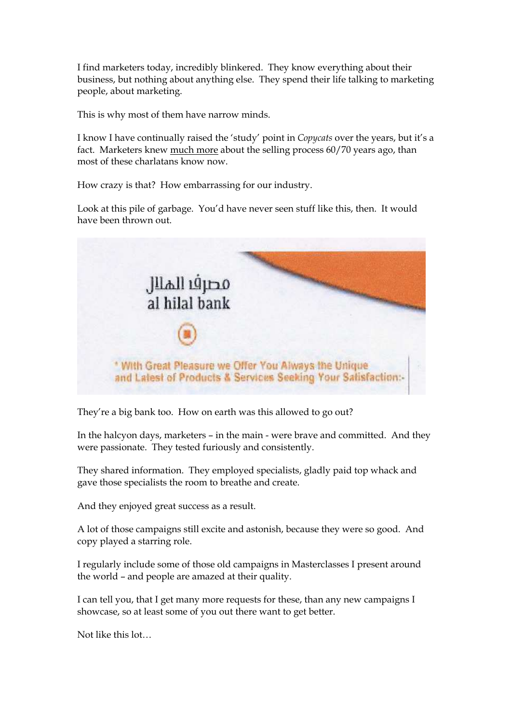I find marketers today, incredibly blinkered. They know everything about their business, but nothing about anything else. They spend their life talking to marketing people, about marketing.

This is why most of them have narrow minds.

I know I have continually raised the 'study' point in *Copycats* over the years, but it's a fact. Marketers knew much more about the selling process 60/70 years ago, than most of these charlatans know now.

How crazy is that? How embarrassing for our industry.

Look at this pile of garbage. You'd have never seen stuff like this, then. It would have been thrown out.



They're a big bank too. How on earth was this allowed to go out?

In the halcyon days, marketers – in the main - were brave and committed. And they were passionate. They tested furiously and consistently.

They shared information. They employed specialists, gladly paid top whack and gave those specialists the room to breathe and create.

And they enjoyed great success as a result.

A lot of those campaigns still excite and astonish, because they were so good. And copy played a starring role.

I regularly include some of those old campaigns in Masterclasses I present around the world – and people are amazed at their quality.

I can tell you, that I get many more requests for these, than any new campaigns I showcase, so at least some of you out there want to get better.

Not like this lot…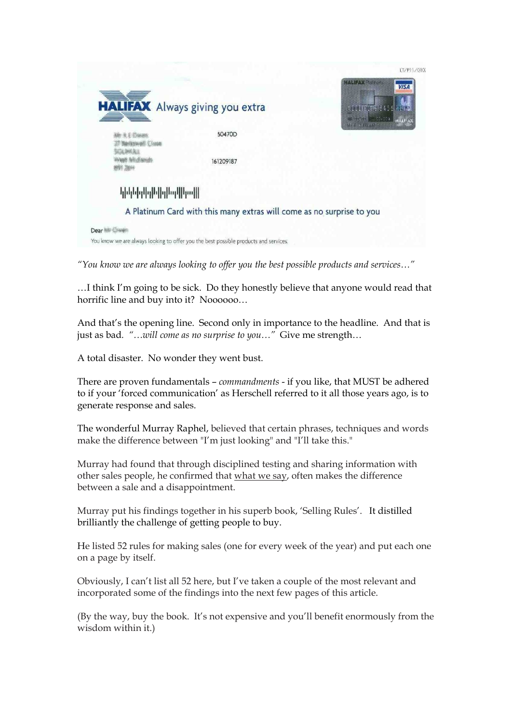

*"You know we are always looking to offer you the best possible products and services…"* 

…I think I'm going to be sick. Do they honestly believe that anyone would read that horrific line and buy into it? Noooooo...

And that's the opening line. Second only in importance to the headline. And that is just as bad*. "…will come as no surprise to you…"* Give me strength…

A total disaster. No wonder they went bust.

There are proven fundamentals – *commandments* - if you like, that MUST be adhered to if your 'forced communication' as Herschell referred to it all those years ago, is to generate response and sales.

The wonderful Murray Raphel, believed that certain phrases, techniques and words make the difference between "I'm just looking" and "I'll take this."

Murray had found that through disciplined testing and sharing information with other sales people, he confirmed that what we say, often makes the difference between a sale and a disappointment.

Murray put his findings together in his superb book, 'Selling Rules'. It distilled brilliantly the challenge of getting people to buy.

He listed 52 rules for making sales (one for every week of the year) and put each one on a page by itself.

Obviously, I can't list all 52 here, but I've taken a couple of the most relevant and incorporated some of the findings into the next few pages of this article.

(By the way, buy the book. It's not expensive and you'll benefit enormously from the wisdom within it.)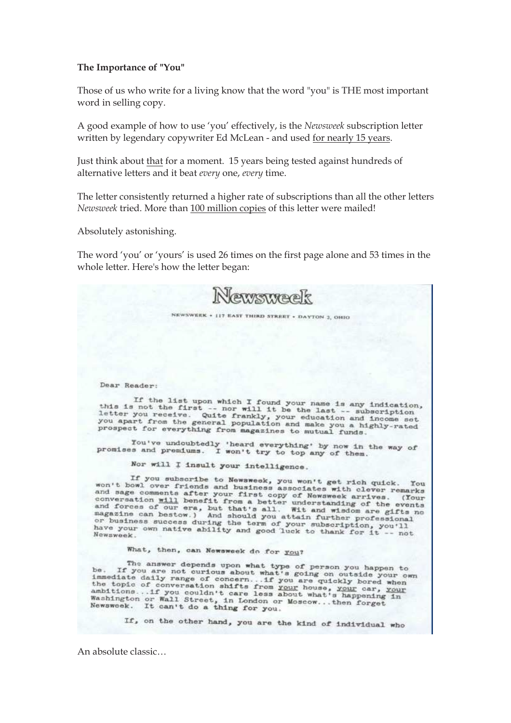## **The Importance of "You"**

Those of us who write for a living know that the word "you" is THE most important word in selling copy.

A good example of how to use 'you' effectively, is the *Newsweek* subscription letter written by legendary copywriter Ed McLean - and used for nearly 15 years.

Just think about that for a moment. 15 years being tested against hundreds of alternative letters and it beat *every* one, *every* time.

The letter consistently returned a higher rate of subscriptions than all the other letters *Newsweek* tried. More than 100 million copies of this letter were mailed!

Absolutely astonishing.

The word 'you' or 'yours' is used 26 times on the first page alone and 53 times in the whole letter. Here's how the letter began:

| Newsweek                                                                                                                                                                                                                                                                                                                                                                                                                                                                                                                                                                        |
|---------------------------------------------------------------------------------------------------------------------------------------------------------------------------------------------------------------------------------------------------------------------------------------------------------------------------------------------------------------------------------------------------------------------------------------------------------------------------------------------------------------------------------------------------------------------------------|
| NEWSWEEK . 117 EAST THIRD STREET . DAYTON 2, OHIO                                                                                                                                                                                                                                                                                                                                                                                                                                                                                                                               |
|                                                                                                                                                                                                                                                                                                                                                                                                                                                                                                                                                                                 |
| Dear Reader:                                                                                                                                                                                                                                                                                                                                                                                                                                                                                                                                                                    |
| If the list upon which I found your name is any indication,<br>this is not the first -- nor will it be the last -- subscription<br>letter you receive. Quite frankly, your education and income set<br>you apart from the general population and make you a highly-rated<br>prospect for everything from magazines to mutual funds.                                                                                                                                                                                                                                             |
| You've undoubtedly 'heard everything' by now in the way of<br>promises and premiums. I won't try to top any of them.                                                                                                                                                                                                                                                                                                                                                                                                                                                            |
| Nor will I insult your intelligence.                                                                                                                                                                                                                                                                                                                                                                                                                                                                                                                                            |
| If you subscribe to Newsweek, you won't get rich quick. You<br>won't howl over friends and business associates with clever remarks<br>and sage comments after your first copy of Newsweek arrives. (Your<br>conversation will benefit from a better understanding of the events<br>and forces of our era, but that's all. Wit and wisdom are gifts no<br>magazine can bestow.) And should you attain further professional<br>or business success during the term of your subscription, you'll<br>have your own native ability and good luck to thank for it -- not<br>Newsweek. |
| What, then, can Newsweek do for you?                                                                                                                                                                                                                                                                                                                                                                                                                                                                                                                                            |
| The answer depends upon what type of person you happen to<br>be. If you are not curious about what's going on outside your own<br>immediate daily range of concern if you are quickly bored when<br>the topic of conversation shifts from your house, your car, your<br>ambitions if you couldn't care less about what's happening in<br>Washington or Wall Street, in London or Moscowthen forget<br>Newsweek. It can't do a thing for you.                                                                                                                                    |
| If, on the other hand, you are the kind of individual who                                                                                                                                                                                                                                                                                                                                                                                                                                                                                                                       |

An absolute classic…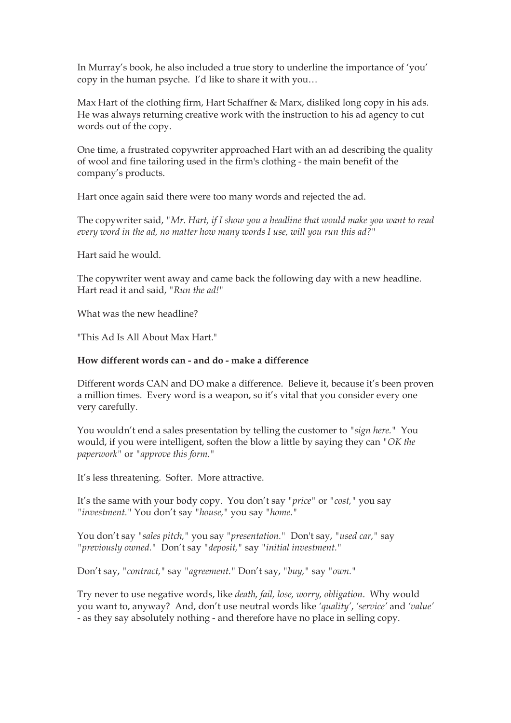In Murray's book, he also included a true story to underline the importance of 'you' copy in the human psyche. I'd like to share it with you…

Max Hart of the clothing firm, Hart Schaffner & Marx, disliked long copy in his ads. He was always returning creative work with the instruction to his ad agency to cut words out of the copy.

One time, a frustrated copywriter approached Hart with an ad describing the quality of wool and fine tailoring used in the firm's clothing - the main benefit of the company's products.

Hart once again said there were too many words and rejected the ad.

The copywriter said, *"Mr. Hart, if I show you a headline that would make you want to read every word in the ad, no matter how many words I use, will you run this ad?"* 

Hart said he would.

The copywriter went away and came back the following day with a new headline. Hart read it and said, *"Run the ad!"*

What was the new headline?

"This Ad Is All About Max Hart."

## **How different words can - and do - make a difference**

Different words CAN and DO make a difference. Believe it, because it's been proven a million times. Every word is a weapon, so it's vital that you consider every one very carefully.

You wouldn't end a sales presentation by telling the customer to *"sign here."* You would, if you were intelligent, soften the blow a little by saying they can *"OK the paperwork"* or *"approve this form."*

It's less threatening. Softer. More attractive.

It's the same with your body copy. You don't say *"price"* or *"cost,"* you say *"investment."* You don't say *"house,"* you say *"home."* 

You don't say *"sales pitch,"* you say *"presentation."* Don't say, *"used car,"* say *"previously owned."* Don't say *"deposit,"* say *"initial investment."* 

Don't say, *"contract,"* say *"agreement."* Don't say, *"buy,"* say *"own."* 

Try never to use negative words, like *death, fail, lose, worry, obligation*. Why would you want to, anyway? And, don't use neutral words like *'quality'*, *'service'* and *'value'* - as they say absolutely nothing - and therefore have no place in selling copy.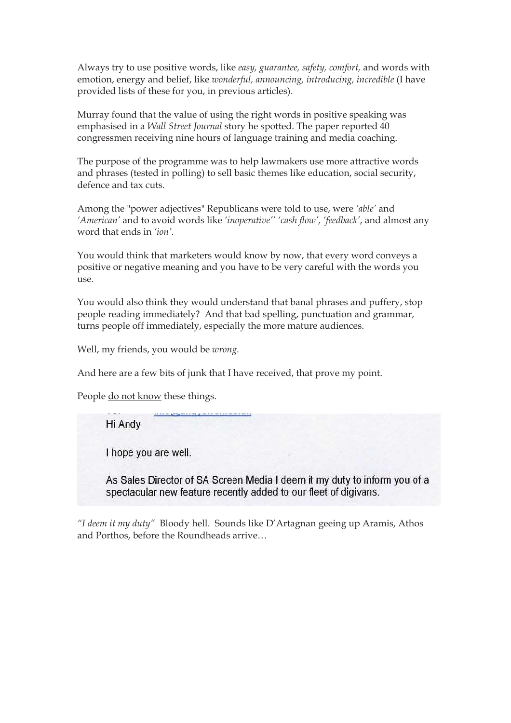Always try to use positive words, like *easy, guarantee, safety, comfort,* and words with emotion, energy and belief, like *wonderful, announcing, introducing, incredible* (I have provided lists of these for you, in previous articles).

Murray found that the value of using the right words in positive speaking was emphasised in a *Wall Street Journal* story he spotted. The paper reported 40 congressmen receiving nine hours of language training and media coaching.

The purpose of the programme was to help lawmakers use more attractive words and phrases (tested in polling) to sell basic themes like education, social security, defence and tax cuts.

Among the "power adjectives" Republicans were told to use, were *'able'* and *'American'* and to avoid words like *'inoperative'' 'cash flow', 'feedback'*, and almost any word that ends in *'ion'.*

You would think that marketers would know by now, that every word conveys a positive or negative meaning and you have to be very careful with the words you use.

You would also think they would understand that banal phrases and puffery, stop people reading immediately? And that bad spelling, punctuation and grammar, turns people off immediately, especially the more mature audiences.

Well, my friends, you would be *wrong.*

And here are a few bits of junk that I have received, that prove my point.

People do not know these things.

Hi Andy

I hope you are well.

As Sales Director of SA Screen Media I deem it my duty to inform you of a spectacular new feature recently added to our fleet of digivans.

*"I deem it my duty"* Bloody hell. Sounds like D'Artagnan geeing up Aramis, Athos and Porthos, before the Roundheads arrive…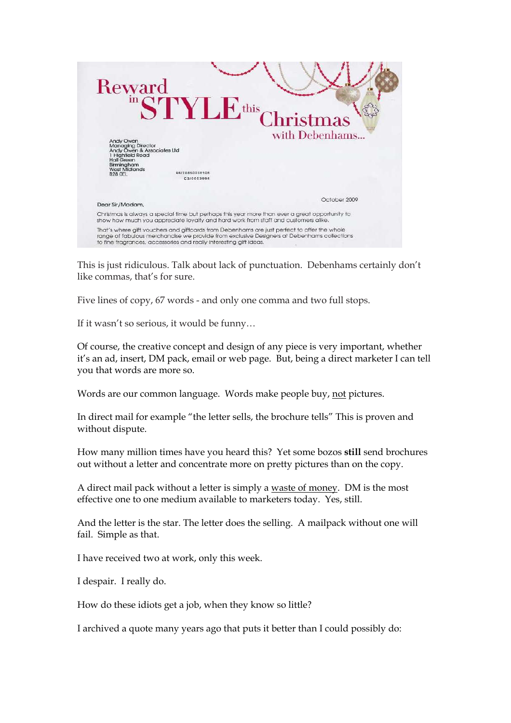

This is just ridiculous. Talk about lack of punctuation. Debenhams certainly don't like commas, that's for sure.

Five lines of copy, 67 words - and only one comma and two full stops.

If it wasn't so serious, it would be funny…

Of course, the creative concept and design of any piece is very important, whether it's an ad, insert, DM pack, email or web page. But, being a direct marketer I can tell you that words are more so.

Words are our common language. Words make people buy, not pictures.

In direct mail for example "the letter sells, the brochure tells" This is proven and without dispute.

How many million times have you heard this? Yet some bozos **still** send brochures out without a letter and concentrate more on pretty pictures than on the copy.

A direct mail pack without a letter is simply a waste of money. DM is the most effective one to one medium available to marketers today. Yes, still.

And the letter is the star. The letter does the selling. A mailpack without one will fail. Simple as that.

I have received two at work, only this week.

I despair. I really do.

How do these idiots get a job, when they know so little?

I archived a quote many years ago that puts it better than I could possibly do: